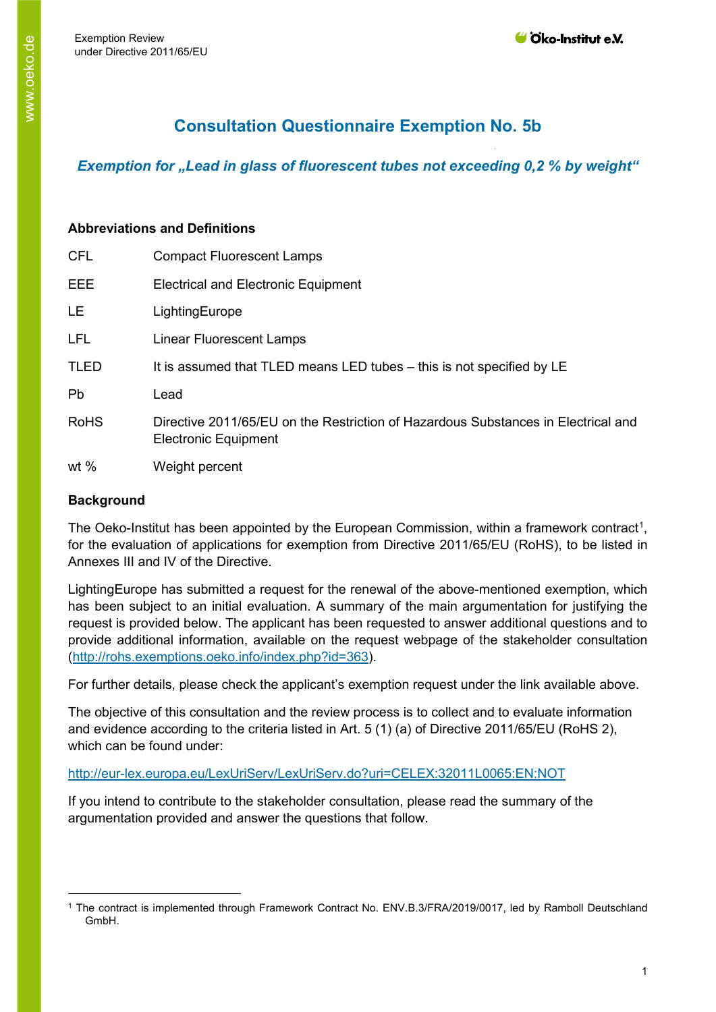# **Consultation Questionnaire Exemption No. 5b**

*Exemption for "Lead in glass of fluorescent tubes not exceeding 0,2 % by weight"* 

# **Abbreviations and Definitions**

| <b>CFL</b>  | <b>Compact Fluorescent Lamps</b>                                                                                 |
|-------------|------------------------------------------------------------------------------------------------------------------|
| EEE         | <b>Electrical and Electronic Equipment</b>                                                                       |
| <b>LE</b>   | LightingEurope                                                                                                   |
| <b>LFL</b>  | <b>Linear Fluorescent Lamps</b>                                                                                  |
| <b>TLED</b> | It is assumed that TLED means LED tubes – this is not specified by LE                                            |
| <b>Pb</b>   | Lead                                                                                                             |
| <b>RoHS</b> | Directive 2011/65/EU on the Restriction of Hazardous Substances in Electrical and<br><b>Electronic Equipment</b> |
| wt $%$      | Weight percent                                                                                                   |

# **Background**

The Oeko-Institut has been appointed by the European Commission, within a framework contract<sup>[1](#page-0-0)</sup>, for the evaluation of applications for exemption from Directive 2011/65/EU (RoHS), to be listed in Annexes III and IV of the Directive.

LightingEurope has submitted a request for the renewal of the above-mentioned exemption, which has been subject to an initial evaluation. A summary of the main argumentation for justifying the request is provided below. The applicant has been requested to answer additional questions and to provide additional information, available on the request webpage of the stakeholder consultation [\(http://rohs.exemptions.oeko.info/index.php?id=363](http://rohs.exemptions.oeko.info/index.php?id=363)).

For further details, please check the applicant's exemption request under the link available above.

The objective of this consultation and the review process is to collect and to evaluate information and evidence according to the criteria listed in Art. 5 (1) (a) of Directive 2011/65/EU (RoHS 2), which can be found under:

# <http://eur-lex.europa.eu/LexUriServ/LexUriServ.do?uri=CELEX:32011L0065:EN:NOT>

If you intend to contribute to the stakeholder consultation, please read the summary of the argumentation provided and answer the questions that follow.

<span id="page-0-0"></span><sup>1</sup> The contract is implemented through Framework Contract No. ENV.B.3/FRA/2019/0017, led by Ramboll Deutschland GmbH.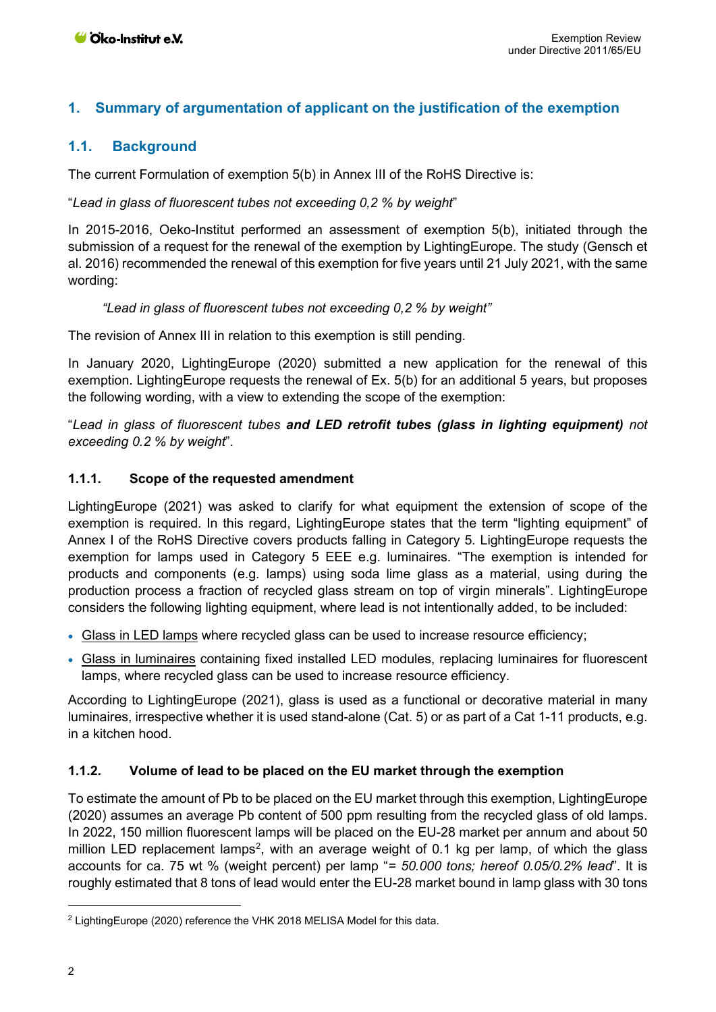# **1. Summary of argumentation of applicant on the justification of the exemption**

## **1.1. Background**

The current Formulation of exemption 5(b) in Annex III of the RoHS Directive is:

#### "*Lead in glass of fluorescent tubes not exceeding 0,2 % by weight*"

In 2015-2016, Oeko-Institut performed an assessment of exemption 5(b), initiated through the submission of a request for the renewal of the exemption by LightingEurope. The study (Gensch et al. 2016) recommended the renewal of this exemption for five years until 21 July 2021, with the same wording:

#### *"Lead in glass of fluorescent tubes not exceeding 0,2 % by weight"*

The revision of Annex III in relation to this exemption is still pending.

In January 2020, LightingEurope (2020) submitted a new application for the renewal of this exemption. LightingEurope requests the renewal of Ex. 5(b) for an additional 5 years, but proposes the following wording, with a view to extending the scope of the exemption:

"*Lead in glass of fluorescent tubes and LED retrofit tubes (glass in lighting equipment) not exceeding 0.2 % by weight*".

#### **1.1.1. Scope of the requested amendment**

LightingEurope (2021) was asked to clarify for what equipment the extension of scope of the exemption is required. In this regard, LightingEurope states that the term "lighting equipment" of Annex I of the RoHS Directive covers products falling in Category 5. LightingEurope requests the exemption for lamps used in Category 5 EEE e.g. luminaires. "The exemption is intended for products and components (e.g. lamps) using soda lime glass as a material, using during the production process a fraction of recycled glass stream on top of virgin minerals". LightingEurope considers the following lighting equipment, where lead is not intentionally added, to be included:

- Glass in LED lamps where recycled glass can be used to increase resource efficiency;
- Glass in luminaires containing fixed installed LED modules, replacing luminaires for fluorescent lamps, where recycled glass can be used to increase resource efficiency.

According to LightingEurope (2021), glass is used as a functional or decorative material in many luminaires, irrespective whether it is used stand-alone (Cat. 5) or as part of a Cat 1-11 products, e.g. in a kitchen hood.

#### **1.1.2. Volume of lead to be placed on the EU market through the exemption**

To estimate the amount of Pb to be placed on the EU market through this exemption, LightingEurope (2020) assumes an average Pb content of 500 ppm resulting from the recycled glass of old lamps. In 2022, 150 million fluorescent lamps will be placed on the EU-28 market per annum and about 50 million LED replacement lamps<sup>[2](#page-1-0)</sup>, with an average weight of 0.1 kg per lamp, of which the glass accounts for ca. 75 wt % (weight percent) per lamp "*= 50.000 tons; hereof 0.05/0.2% lead*". It is roughly estimated that 8 tons of lead would enter the EU-28 market bound in lamp glass with 30 tons

<span id="page-1-0"></span><sup>2</sup> LightingEurope (2020) reference the VHK 2018 MELISA Model for this data.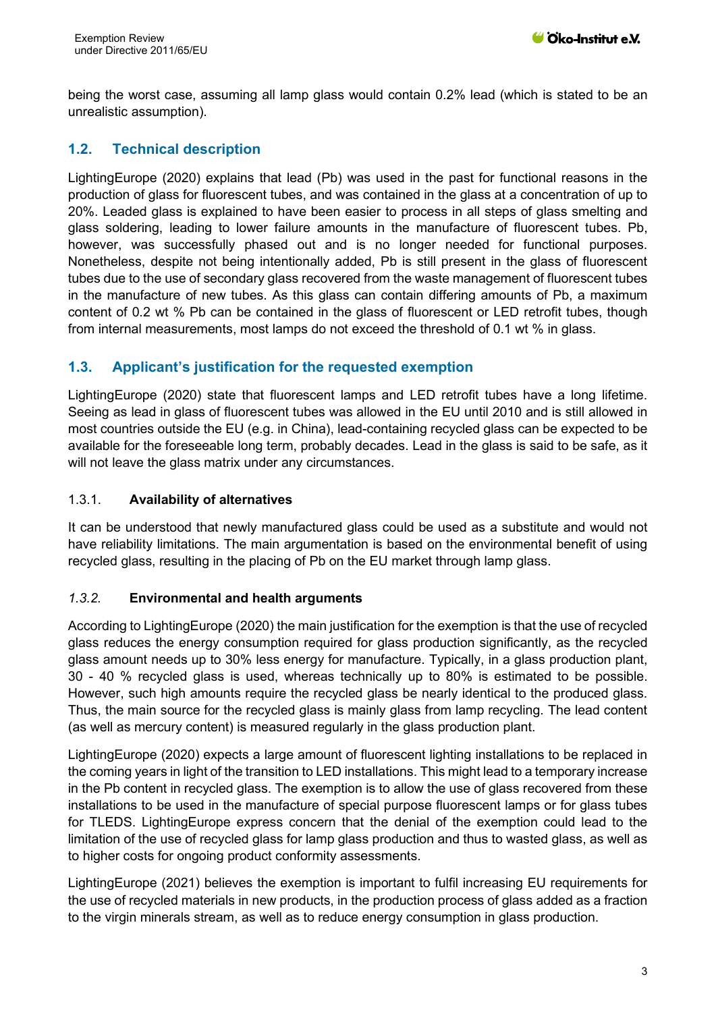being the worst case, assuming all lamp glass would contain 0.2% lead (which is stated to be an unrealistic assumption).

# **1.2. Technical description**

LightingEurope (2020) explains that lead (Pb) was used in the past for functional reasons in the production of glass for fluorescent tubes, and was contained in the glass at a concentration of up to 20%. Leaded glass is explained to have been easier to process in all steps of glass smelting and glass soldering, leading to lower failure amounts in the manufacture of fluorescent tubes. Pb, however, was successfully phased out and is no longer needed for functional purposes. Nonetheless, despite not being intentionally added, Pb is still present in the glass of fluorescent tubes due to the use of secondary glass recovered from the waste management of fluorescent tubes in the manufacture of new tubes. As this glass can contain differing amounts of Pb, a maximum content of 0.2 wt % Pb can be contained in the glass of fluorescent or LED retrofit tubes, though from internal measurements, most lamps do not exceed the threshold of 0.1 wt % in glass.

# **1.3. Applicant's justification for the requested exemption**

LightingEurope (2020) state that fluorescent lamps and LED retrofit tubes have a long lifetime. Seeing as lead in glass of fluorescent tubes was allowed in the EU until 2010 and is still allowed in most countries outside the EU (e.g. in China), lead-containing recycled glass can be expected to be available for the foreseeable long term, probably decades. Lead in the glass is said to be safe, as it will not leave the glass matrix under any circumstances.

### 1.3.1. **Availability of alternatives**

It can be understood that newly manufactured glass could be used as a substitute and would not have reliability limitations. The main argumentation is based on the environmental benefit of using recycled glass, resulting in the placing of Pb on the EU market through lamp glass.

#### *1.3.2.* **Environmental and health arguments**

According to LightingEurope (2020) the main justification for the exemption is that the use of recycled glass reduces the energy consumption required for glass production significantly, as the recycled glass amount needs up to 30% less energy for manufacture. Typically, in a glass production plant, 30 - 40 % recycled glass is used, whereas technically up to 80% is estimated to be possible. However, such high amounts require the recycled glass be nearly identical to the produced glass. Thus, the main source for the recycled glass is mainly glass from lamp recycling. The lead content (as well as mercury content) is measured regularly in the glass production plant.

LightingEurope (2020) expects a large amount of fluorescent lighting installations to be replaced in the coming years in light of the transition to LED installations. This might lead to a temporary increase in the Pb content in recycled glass. The exemption is to allow the use of glass recovered from these installations to be used in the manufacture of special purpose fluorescent lamps or for glass tubes for TLEDS. LightingEurope express concern that the denial of the exemption could lead to the limitation of the use of recycled glass for lamp glass production and thus to wasted glass, as well as to higher costs for ongoing product conformity assessments.

LightingEurope (2021) believes the exemption is important to fulfil increasing EU requirements for the use of recycled materials in new products, in the production process of glass added as a fraction to the virgin minerals stream, as well as to reduce energy consumption in glass production.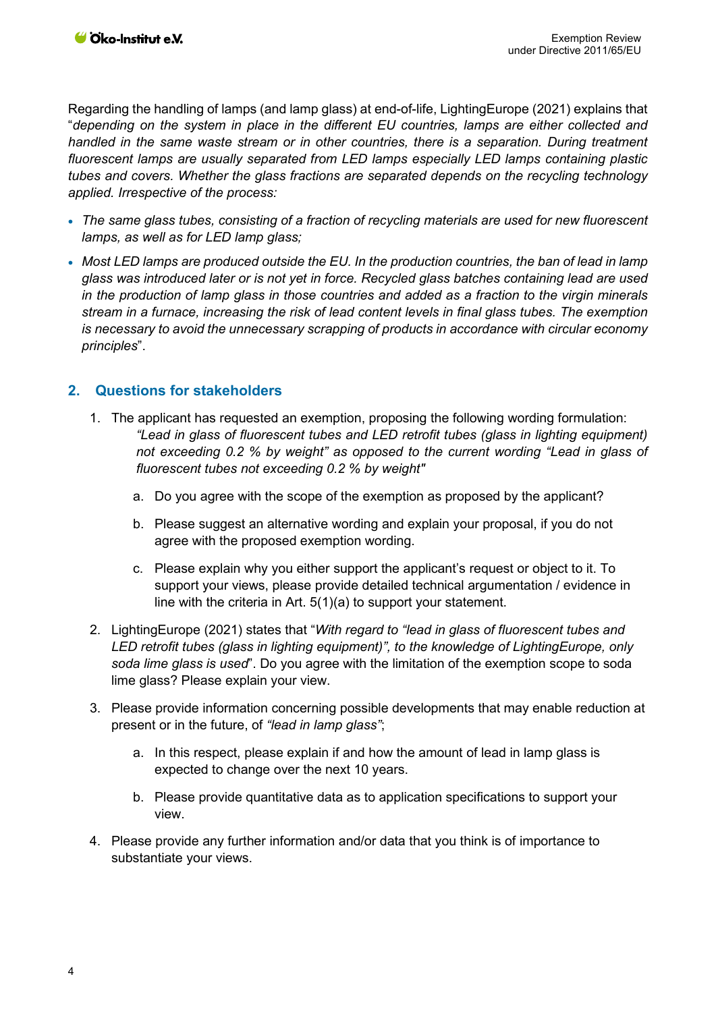Regarding the handling of lamps (and lamp glass) at end-of-life, LightingEurope (2021) explains that "*depending on the system in place in the different EU countries, lamps are either collected and handled in the same waste stream or in other countries, there is a separation. During treatment fluorescent lamps are usually separated from LED lamps especially LED lamps containing plastic tubes and covers. Whether the glass fractions are separated depends on the recycling technology applied. Irrespective of the process:*

- *The same glass tubes, consisting of a fraction of recycling materials are used for new fluorescent lamps, as well as for LED lamp glass;*
- *Most LED lamps are produced outside the EU. In the production countries, the ban of lead in lamp glass was introduced later or is not yet in force. Recycled glass batches containing lead are used in the production of lamp glass in those countries and added as a fraction to the virgin minerals stream in a furnace, increasing the risk of lead content levels in final glass tubes. The exemption is necessary to avoid the unnecessary scrapping of products in accordance with circular economy principles*".

### **2. Questions for stakeholders**

- 1. The applicant has requested an exemption, proposing the following wording formulation: *"Lead in glass of fluorescent tubes and LED retrofit tubes (glass in lighting equipment) not exceeding 0.2 % by weight" as opposed to the current wording "Lead in glass of fluorescent tubes not exceeding 0.2 % by weight"* 
	- a. Do you agree with the scope of the exemption as proposed by the applicant?
	- b. Please suggest an alternative wording and explain your proposal, if you do not agree with the proposed exemption wording.
	- c. Please explain why you either support the applicant's request or object to it. To support your views, please provide detailed technical argumentation / evidence in line with the criteria in Art. 5(1)(a) to support your statement.
- 2. LightingEurope (2021) states that "*With regard to "lead in glass of fluorescent tubes and LED retrofit tubes (glass in lighting equipment)", to the knowledge of LightingEurope, only soda lime glass is used*". Do you agree with the limitation of the exemption scope to soda lime glass? Please explain your view.
- 3. Please provide information concerning possible developments that may enable reduction at present or in the future, of *"lead in lamp glass"*;
	- a. In this respect, please explain if and how the amount of lead in lamp glass is expected to change over the next 10 years.
	- b. Please provide quantitative data as to application specifications to support your view.
- 4. Please provide any further information and/or data that you think is of importance to substantiate your views.